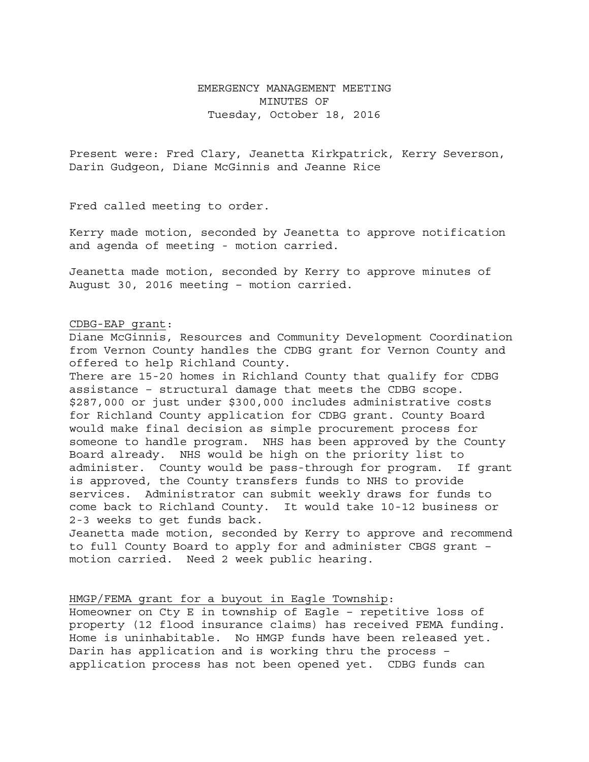## EMERGENCY MANAGEMENT MEETING MINUTES OF Tuesday, October 18, 2016

Present were: Fred Clary, Jeanetta Kirkpatrick, Kerry Severson, Darin Gudgeon, Diane McGinnis and Jeanne Rice

Fred called meeting to order.

Kerry made motion, seconded by Jeanetta to approve notification and agenda of meeting - motion carried.

Jeanetta made motion, seconded by Kerry to approve minutes of August 30, 2016 meeting – motion carried.

## CDBG-EAP grant:

Diane McGinnis, Resources and Community Development Coordination from Vernon County handles the CDBG grant for Vernon County and offered to help Richland County.

There are 15-20 homes in Richland County that qualify for CDBG assistance – structural damage that meets the CDBG scope. \$287,000 or just under \$300,000 includes administrative costs for Richland County application for CDBG grant. County Board would make final decision as simple procurement process for someone to handle program. NHS has been approved by the County Board already. NHS would be high on the priority list to administer. County would be pass-through for program. If grant is approved, the County transfers funds to NHS to provide services. Administrator can submit weekly draws for funds to come back to Richland County. It would take 10-12 business or 2-3 weeks to get funds back. Jeanetta made motion, seconded by Kerry to approve and recommend

to full County Board to apply for and administer CBGS grant – motion carried. Need 2 week public hearing.

## HMGP/FEMA grant for a buyout in Eagle Township:

Homeowner on Cty E in township of Eagle – repetitive loss of property (12 flood insurance claims) has received FEMA funding. Home is uninhabitable. No HMGP funds have been released yet. Darin has application and is working thru the process – application process has not been opened yet. CDBG funds can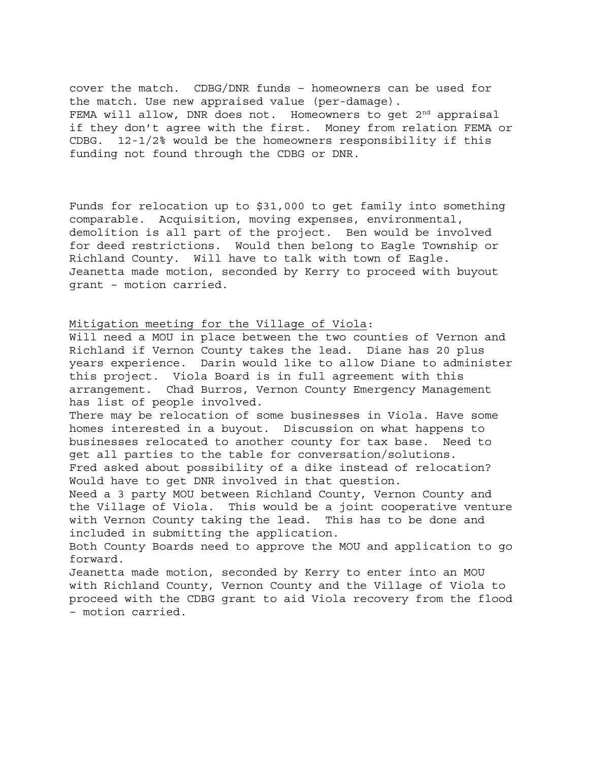cover the match. CDBG/DNR funds – homeowners can be used for the match. Use new appraised value (per-damage). FEMA will allow, DNR does not. Homeowners to get  $2<sup>nd</sup>$  appraisal if they don't agree with the first. Money from relation FEMA or CDBG. 12-1/2% would be the homeowners responsibility if this funding not found through the CDBG or DNR.

Funds for relocation up to \$31,000 to get family into something comparable. Acquisition, moving expenses, environmental, demolition is all part of the project. Ben would be involved for deed restrictions. Would then belong to Eagle Township or Richland County. Will have to talk with town of Eagle. Jeanetta made motion, seconded by Kerry to proceed with buyout grant – motion carried.

Mitigation meeting for the Village of Viola:

Will need a MOU in place between the two counties of Vernon and Richland if Vernon County takes the lead. Diane has 20 plus years experience. Darin would like to allow Diane to administer this project. Viola Board is in full agreement with this arrangement. Chad Burros, Vernon County Emergency Management has list of people involved.

There may be relocation of some businesses in Viola. Have some homes interested in a buyout. Discussion on what happens to businesses relocated to another county for tax base. Need to get all parties to the table for conversation/solutions. Fred asked about possibility of a dike instead of relocation? Would have to get DNR involved in that question.

Need a 3 party MOU between Richland County, Vernon County and the Village of Viola. This would be a joint cooperative venture with Vernon County taking the lead. This has to be done and included in submitting the application.

Both County Boards need to approve the MOU and application to go forward.

Jeanetta made motion, seconded by Kerry to enter into an MOU with Richland County, Vernon County and the Village of Viola to proceed with the CDBG grant to aid Viola recovery from the flood – motion carried.